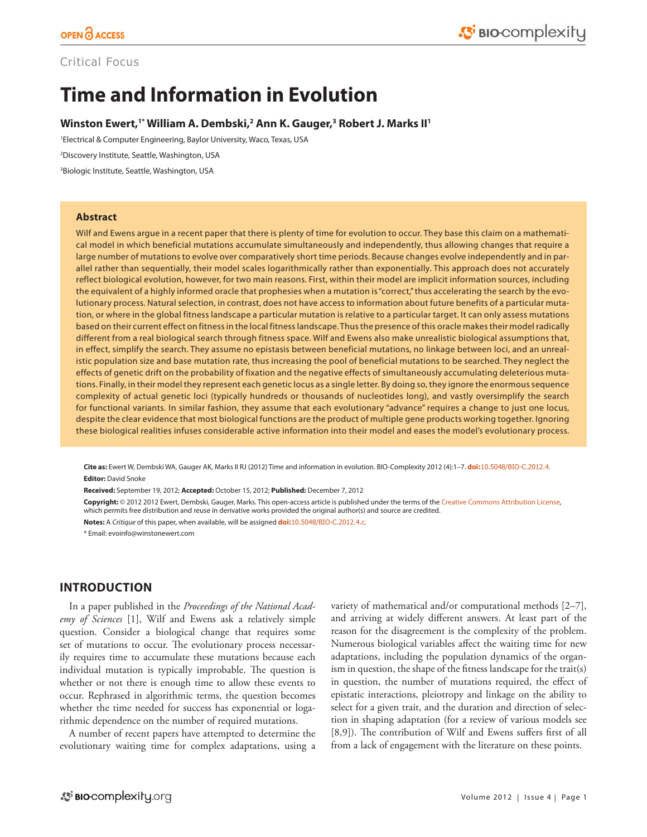# Critical Focus

# **Time and Information in Evolution**

# **Winston Ewert,1\* William A. Dembski,2 Ann K. Gauger,3 Robert J. Marks II1**

1 Electrical & Computer Engineering, Baylor University, Waco, Texas, USA

2 Discovery Institute, Seattle, Washington, USA

3 Biologic Institute, Seattle, Washington, USA

## **Abstract**

Wilf and Ewens argue in a recent paper that there is plenty of time for evolution to occur. They base this claim on a mathematical model in which beneficial mutations accumulate simultaneously and independently, thus allowing changes that require a large number of mutations to evolve over comparatively short time periods. Because changes evolve independently and in parallel rather than sequentially, their model scales logarithmically rather than exponentially. This approach does not accurately reflect biological evolution, however, for two main reasons. First, within their model are implicit information sources, including the equivalent of a highly informed oracle that prophesies when a mutation is "correct," thus accelerating the search by the evolutionary process. Natural selection, in contrast, does not have access to information about future benefits of a particular mutation, or where in the global fitness landscape a particular mutation is relative to a particular target. It can only assess mutations based on their current effect on fitness in the local fitness landscape. Thus the presence of this oracle makes their model radically different from a real biological search through fitness space. Wilf and Ewens also make unrealistic biological assumptions that, in effect, simplify the search. They assume no epistasis between beneficial mutations, no linkage between loci, and an unrealistic population size and base mutation rate, thus increasing the pool of beneficial mutations to be searched. They neglect the effects of genetic drift on the probability of fixation and the negative effects of simultaneously accumulating deleterious mutations. Finally, in their model they represent each genetic locus as a single letter. By doing so, they ignore the enormous sequence complexity of actual genetic loci (typically hundreds or thousands of nucleotides long), and vastly oversimplify the search for functional variants. In similar fashion, they assume that each evolutionary "advance" requires a change to just one locus, despite the clear evidence that most biological functions are the product of multiple gene products working together. Ignoring these biological realities infuses considerable active information into their model and eases the model's evolutionary process.

**Cite as:** Ewert W, Dembski WA, Gauger AK, Marks II RJ (2012) Time and information in evolution. BIO-Complexity 2012 (4):1–7. **doi:**[10.5048/BIO-C.2012.4](http://dx.doi.org/10.5048/BIO-C.2012.4). **Editor:** David Snoke

**Received:** September 19, 2012; **Accepted:** October 15, 2012; **Published:** December 7, 2012

**Copyright:** © 2012 2012 Ewert, Dembski, Gauger, Marks. This open-access article is published under the terms of the [Creative Commons Attribution License](http://creativecommons.org/licenses/by/3.0/), which permits free distribution and reuse in derivative works provided the original author(s) and source are credited.

**Notes:** A *Critique* of this paper, when available, will be assigned **doi:**[10.5048/BIO-C.2012.4.c](http://dx.doi.org/10.5048/BIO-C.2012.4.c).

\* Email: [evoinfo@winstonewert.com](mailto:evoinfo@winstonewert.com)

# **INTRODUCTION**

In a paper published in the *Proceedings of the National Academy of Sciences* [1], Wilf and Ewens ask a relatively simple question. Consider a biological change that requires some set of mutations to occur. The evolutionary process necessarily requires time to accumulate these mutations because each individual mutation is typically improbable. The question is whether or not there is enough time to allow these events to occur. Rephrased in algorithmic terms, the question becomes whether the time needed for success has exponential or logarithmic dependence on the number of required mutations.

A number of recent papers have attempted to determine the evolutionary waiting time for complex adaptations, using a variety of mathematical and/or computational methods [2–7], and arriving at widely different answers. At least part of the reason for the disagreement is the complexity of the problem. Numerous biological variables affect the waiting time for new adaptations, including the population dynamics of the organism in question, the shape of the fitness landscape for the trait(s) in question, the number of mutations required, the effect of epistatic interactions, pleiotropy and linkage on the ability to select for a given trait, and the duration and direction of selection in shaping adaptation (for a review of various models see [8,9]). The contribution of Wilf and Ewens suffers first of all from a lack of engagement with the literature on these points.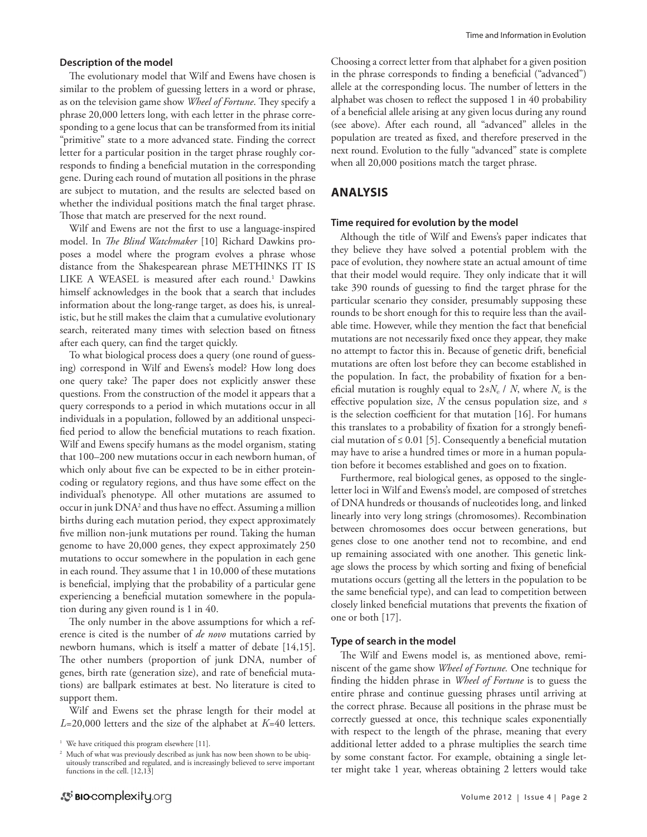#### **Description of the model**

The evolutionary model that Wilf and Ewens have chosen is similar to the problem of guessing letters in a word or phrase, as on the television game show *Wheel of Fortune*. They specify a phrase 20,000 letters long, with each letter in the phrase corresponding to a gene locus that can be transformed from its initial "primitive" state to a more advanced state. Finding the correct letter for a particular position in the target phrase roughly corresponds to finding a beneficial mutation in the corresponding gene. During each round of mutation all positions in the phrase are subject to mutation, and the results are selected based on whether the individual positions match the final target phrase. Those that match are preserved for the next round.

Wilf and Ewens are not the first to use a language-inspired model. In *The Blind Watchmaker* [10] Richard Dawkins proposes a model where the program evolves a phrase whose distance from the Shakespearean phrase METHINKS IT IS LIKE A WEASEL is measured after each round.<sup>1</sup> Dawkins himself acknowledges in the book that a search that includes information about the long-range target, as does his, is unrealistic, but he still makes the claim that a cumulative evolutionary search, reiterated many times with selection based on fitness after each query, can find the target quickly.

To what biological process does a query (one round of guessing) correspond in Wilf and Ewens's model? How long does one query take? The paper does not explicitly answer these questions. From the construction of the model it appears that a query corresponds to a period in which mutations occur in all individuals in a population, followed by an additional unspecified period to allow the beneficial mutations to reach fixation. Wilf and Ewens specify humans as the model organism, stating that 100–200 new mutations occur in each newborn human, of which only about five can be expected to be in either proteincoding or regulatory regions, and thus have some effect on the individual's phenotype. All other mutations are assumed to occur in junk DNA<sup>2</sup> and thus have no effect. Assuming a million births during each mutation period, they expect approximately five million non-junk mutations per round. Taking the human genome to have 20,000 genes, they expect approximately 250 mutations to occur somewhere in the population in each gene in each round. They assume that 1 in 10,000 of these mutations is beneficial, implying that the probability of a particular gene experiencing a beneficial mutation somewhere in the population during any given round is 1 in 40.

The only number in the above assumptions for which a reference is cited is the number of *de novo* mutations carried by newborn humans, which is itself a matter of debate [14,15]. The other numbers (proportion of junk DNA, number of genes, birth rate (generation size), and rate of beneficial mutations) are ballpark estimates at best. No literature is cited to support them.

Wilf and Ewens set the phrase length for their model at *L*=20,000 letters and the size of the alphabet at *K*=40 letters. Choosing a correct letter from that alphabet for a given position in the phrase corresponds to finding a beneficial ("advanced") allele at the corresponding locus. The number of letters in the alphabet was chosen to reflect the supposed 1 in 40 probability of a beneficial allele arising at any given locus during any round (see above). After each round, all "advanced" alleles in the population are treated as fixed, and therefore preserved in the next round. Evolution to the fully "advanced" state is complete when all 20,000 positions match the target phrase.

# **ANALYSIS**

#### **Time required for evolution by the model**

Although the title of Wilf and Ewens's paper indicates that they believe they have solved a potential problem with the pace of evolution, they nowhere state an actual amount of time that their model would require. They only indicate that it will take 390 rounds of guessing to find the target phrase for the particular scenario they consider, presumably supposing these rounds to be short enough for this to require less than the available time. However, while they mention the fact that beneficial mutations are not necessarily fixed once they appear, they make no attempt to factor this in. Because of genetic drift, beneficial mutations are often lost before they can become established in the population. In fact, the probability of fixation for a beneficial mutation is roughly equal to 2*sN*e / *N*, where *N*e is the effective population size, *N* the census population size, and *s* is the selection coefficient for that mutation [16]. For humans this translates to a probability of fixation for a strongly beneficial mutation of  $\leq 0.01$  [5]. Consequently a beneficial mutation may have to arise a hundred times or more in a human population before it becomes established and goes on to fixation.

Furthermore, real biological genes, as opposed to the singleletter loci in Wilf and Ewens's model, are composed of stretches of DNA hundreds or thousands of nucleotides long, and linked linearly into very long strings (chromosomes). Recombination between chromosomes does occur between generations, but genes close to one another tend not to recombine, and end up remaining associated with one another. This genetic linkage slows the process by which sorting and fixing of beneficial mutations occurs (getting all the letters in the population to be the same beneficial type), and can lead to competition between closely linked beneficial mutations that prevents the fixation of one or both [17].

#### **Type of search in the model**

The Wilf and Ewens model is, as mentioned above, reminiscent of the game show *Wheel of Fortune.* One technique for finding the hidden phrase in *Wheel of Fortune* is to guess the entire phrase and continue guessing phrases until arriving at the correct phrase. Because all positions in the phrase must be correctly guessed at once, this technique scales exponentially with respect to the length of the phrase, meaning that every additional letter added to a phrase multiplies the search time by some constant factor. For example, obtaining a single letter might take 1 year, whereas obtaining 2 letters would take

<sup>&</sup>lt;sup>1</sup> We have critiqued this program elsewhere [11].

<sup>2</sup> Much of what was previously described as junk has now been shown to be ubiquitously transcribed and regulated, and is increasingly believed to serve important functions in the cell. [12,13]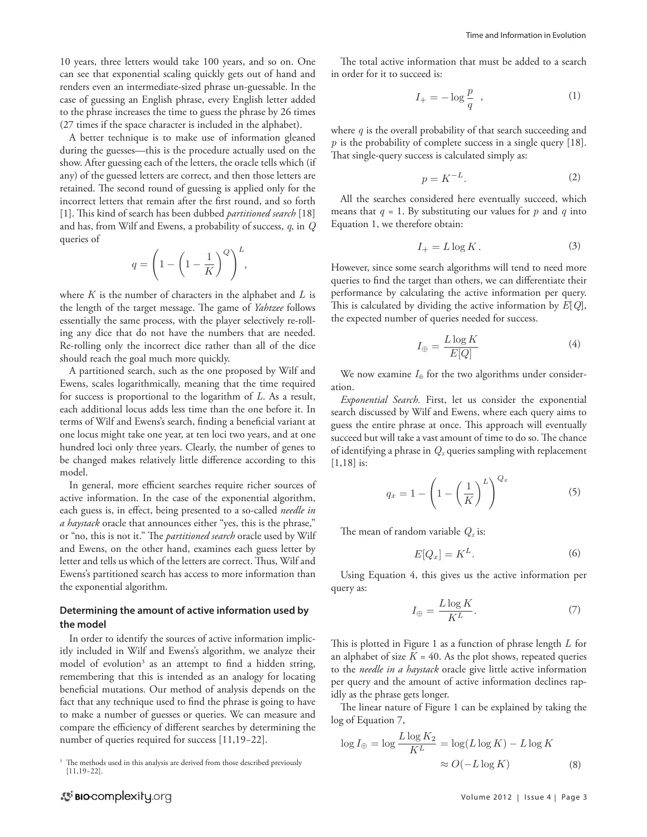10 years, three letters would take 100 years, and so on. One can see that exponential scaling quickly gets out of hand and renders even an intermediate-sized phrase un-guessable. In the case of guessing an English phrase, every English letter added to the phrase increases the time to guess the phrase by 26 times (27 times if the space character is included in the alphabet).

A better technique is to make use of information gleaned during the guesses—this is the procedure actually used on the show. After guessing each of the letters, the oracle tells which (if any) of the guessed letters are correct, and then those letters are retained. The second round of guessing is applied only for the incorrect letters that remain after the first round, and so forth [1]. This kind of search has been dubbed *partitioned search* [18] and has, from Wilf and Ewens, a probability of success, *q*, in *Q*  queries of

$$
q = \left(1 - \left(1 - \frac{1}{K}\right)^Q\right)^L,
$$

where *K* is the number of characters in the alphabet and *L* is the length of the target message. The game of *Yahtzee* follows essentially the same process, with the player selectively re-rolling any dice that do not have the numbers that are needed. Re-rolling only the incorrect dice rather than all of the dice should reach the goal much more quickly.

A partitioned search, such as the one proposed by Wilf and Ewens, scales logarithmically, meaning that the time required for success is proportional to the logarithm of *L*. As a result, each additional locus adds less time than the one before it. In terms of Wilf and Ewens's search, finding a beneficial variant at one locus might take one year, at ten loci two years, and at one hundred loci only three years. Clearly, the number of genes to be changed makes relatively little difference according to this model.

In general, more efficient searches require richer sources of active information. In the case of the exponential algorithm, each guess is, in effect, being presented to a so-called *needle in a haystack* oracle that announces either "yes, this is the phrase," or "no, this is not it." The *partitioned search* oracle used by Wilf and Ewens, on the other hand, examines each guess letter by letter and tells us which of the letters are correct. Thus, Wilf and Ewens's partitioned search has access to more information than the exponential algorithm.

# **Determining the amount of active information used by the model**

In order to identify the sources of active information implicitly included in Wilf and Ewens's algorithm, we analyze their model of evolution<sup>3</sup> as an attempt to find a hidden string, remembering that this is intended as an analogy for locating beneficial mutations. Our method of analysis depends on the fact that any technique used to find the phrase is going to have to make a number of guesses or queries. We can measure and compare the efficiency of different searches by determining the number of queries required for success [11,19−22].

The total active information that must be added to a search in order for it to succeed is:

$$
I_{+} = -\log\frac{p}{q} \quad , \tag{1}
$$

where *q* is the overall probability of that search succeeding and *p* is the probability of complete success in a single query [18]. That single-query success is calculated simply as:

$$
p = K^{-L}.\tag{2}
$$

All the searches considered here eventually succeed, which means that *q* = 1. By substituting our values for *p* and *q* into Equation 1, we therefore obtain:

$$
I_{+} = L \log K. \tag{3}
$$

However, since some search algorithms will tend to need more queries to find the target than others, we can differentiate their performance by calculating the active information per query. This is calculated by dividing the active information by *E*[*Q*], the expected number of queries needed for success.

$$
I_{\oplus} = \frac{L \log K}{E[Q]} \tag{4}
$$

We now examine  $I_{\oplus}$  for the two algorithms under consideration.

*Exponential Search.* First, let us consider the exponential search discussed by Wilf and Ewens, where each query aims to guess the entire phrase at once. This approach will eventually succeed but will take a vast amount of time to do so. The chance of identifying a phrase in *Qx* queries sampling with replacement [1,18] is:

$$
q_x = 1 - \left(1 - \left(\frac{1}{K}\right)^L\right)^{Q_x} \tag{5}
$$

The mean of random variable  $Q_x$  is:

$$
E[Q_x] = K^L. \tag{6}
$$

Using Equation 4, this gives us the active information per query as:

$$
I_{\oplus} = \frac{L \log K}{K^L}.\tag{7}
$$

This is plotted in Figure 1 as a function of phrase length *L* for an alphabet of size  $K = 40$ . As the plot shows, repeated queries to the *needle in a haystack* oracle give little active information per query and the amount of active information declines rapidly as the phrase gets longer.

The linear nature of Figure 1 can be explained by taking the log of Equation 7,

$$
\log I_{\oplus} = \log \frac{L \log K_2}{K^L} = \log(L \log K) - L \log K
$$
  

$$
\approx O(-L \log K) \tag{8}
$$

<sup>&</sup>lt;sup>3</sup> The methods used in this analysis are derived from those described previously  $[11.19-22]$ . [11,19−22].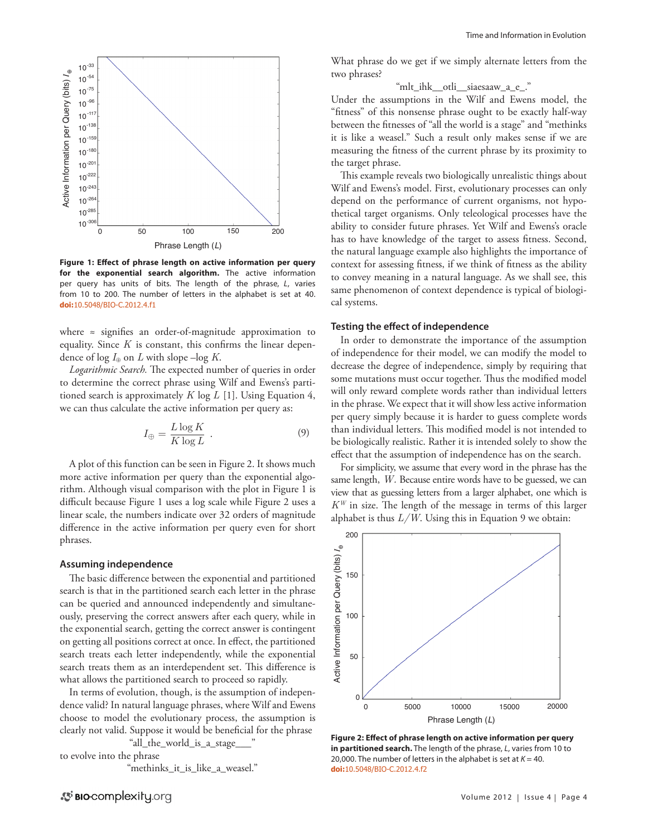

**Figure 1: Effect of phrase length on active information per query for the exponential search algorithm.** The active information per query has units of bits. The length of the phrase, *L*, varies from 10 to 200. The number of letters in the alphabet is set at 40. **doi:**[10.5048/BIO-C.2012.4.f1](http://dx.doi.org/10.5048/BIO-C.2012.4.f1)

where ≈ signifies an order-of-magnitude approximation to equality. Since *K* is constant, this confirms the linear dependence of  $\log I_{\oplus}$  on *L* with slope –log *K*.

*Logarithmic Search.* The expected number of queries in order to determine the correct phrase using Wilf and Ewens's partitioned search is approximately *K* log *L* [1]. Using Equation 4, we can thus calculate the active information per query as:

$$
I_{\oplus} = \frac{L \log K}{K \log L} \tag{9}
$$

A plot of this function can be seen in Figure 2. It shows much more active information per query than the exponential algorithm. Although visual comparison with the plot in Figure 1 is difficult because Figure 1 uses a log scale while Figure 2 uses a linear scale, the numbers indicate over 32 orders of magnitude difference in the active information per query even for short phrases.

## **Assuming independence**

The basic difference between the exponential and partitioned search is that in the partitioned search each letter in the phrase can be queried and announced independently and simultaneously, preserving the correct answers after each query, while in the exponential search, getting the correct answer is contingent on getting all positions correct at once. In effect, the partitioned search treats each letter independently, while the exponential search treats them as an interdependent set. This difference is what allows the partitioned search to proceed so rapidly.

In terms of evolution, though, is the assumption of independence valid? In natural language phrases, where Wilf and Ewens choose to model the evolutionary process, the assumption is clearly not valid. Suppose it would be beneficial for the phrase

"all\_the\_world\_is\_a\_stage\_\_\_" to evolve into the phrase

"methinks\_it\_is\_like\_a\_weasel."

What phrase do we get if we simply alternate letters from the two phrases?

"mlt\_ihk\_\_otli\_\_siaesaaw\_a\_e\_."

Under the assumptions in the Wilf and Ewens model, the "fitness" of this nonsense phrase ought to be exactly half-way between the fitnesses of "all the world is a stage" and "methinks it is like a weasel." Such a result only makes sense if we are measuring the fitness of the current phrase by its proximity to the target phrase.

This example reveals two biologically unrealistic things about Wilf and Ewens's model. First, evolutionary processes can only depend on the performance of current organisms, not hypothetical target organisms. Only teleological processes have the ability to consider future phrases. Yet Wilf and Ewens's oracle has to have knowledge of the target to assess fitness. Second, the natural language example also highlights the importance of context for assessing fitness, if we think of fitness as the ability to convey meaning in a natural language. As we shall see, this same phenomenon of context dependence is typical of biological systems.

### **Testing the effect of independence**

In order to demonstrate the importance of the assumption of independence for their model, we can modify the model to decrease the degree of independence, simply by requiring that some mutations must occur together. Thus the modified model will only reward complete words rather than individual letters in the phrase. We expect that it will show less active information per query simply because it is harder to guess complete words than individual letters. This modified model is not intended to be biologically realistic. Rather it is intended solely to show the effect that the assumption of independence has on the search.

For simplicity, we assume that every word in the phrase has the same length, *W.* Because entire words have to be guessed, we can view that as guessing letters from a larger alphabet, one which is *KW* in size. The length of the message in terms of this larger alphabet is thus *L/W*. Using this in Equation 9 we obtain:



**Figure 2: Effect of phrase length on active information per query in partitioned search.** The length of the phrase, *L*, varies from 10 to 20,000. The number of letters in the alphabet is set at  $K = 40$ . **doi:**[10.5048/BIO-C.2012.4.f2](http://dx.doi.org/10.5048/BIO-C.2012.4.f2)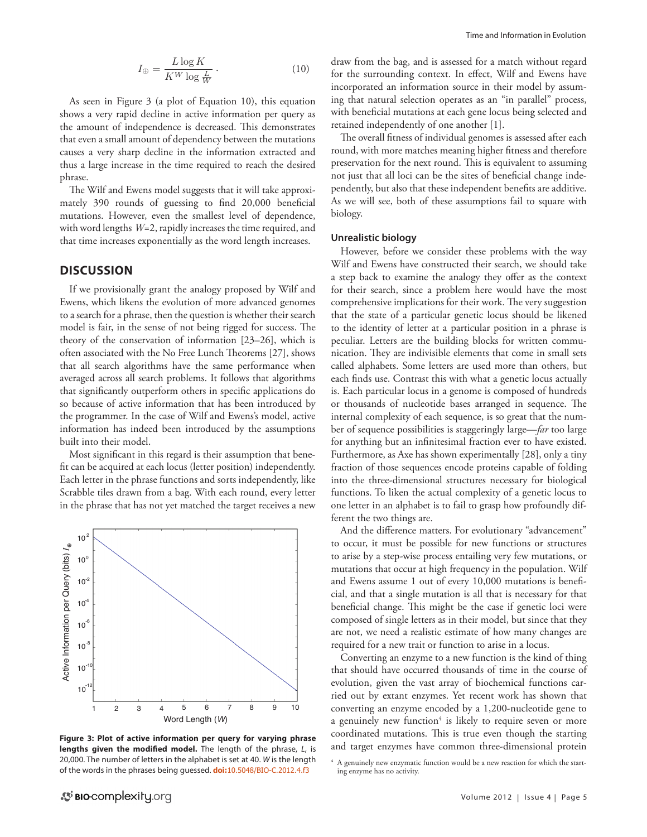$$
I_{\oplus} = \frac{L \log K}{K^W \log \frac{L}{W}}.
$$
\n(10)

As seen in Figure 3 (a plot of Equation 10), this equation shows a very rapid decline in active information per query as the amount of independence is decreased. This demonstrates that even a small amount of dependency between the mutations causes a very sharp decline in the information extracted and thus a large increase in the time required to reach the desired phrase.

The Wilf and Ewens model suggests that it will take approximately 390 rounds of guessing to find 20,000 beneficial mutations. However, even the smallest level of dependence, with word lengths *W*=2, rapidly increases the time required, and that time increases exponentially as the word length increases.

# **DISCUSSION**

If we provisionally grant the analogy proposed by Wilf and Ewens, which likens the evolution of more advanced genomes to a search for a phrase, then the question is whether their search model is fair, in the sense of not being rigged for success. The theory of the conservation of information [23–26], which is often associated with the No Free Lunch Theorems [27], shows that all search algorithms have the same performance when averaged across all search problems. It follows that algorithms that significantly outperform others in specific applications do so because of active information that has been introduced by the programmer. In the case of Wilf and Ewens's model, active information has indeed been introduced by the assumptions built into their model.

Most significant in this regard is their assumption that benefit can be acquired at each locus (letter position) independently. Each letter in the phrase functions and sorts independently, like Scrabble tiles drawn from a bag. With each round, every letter in the phrase that has not yet matched the target receives a new



**Figure 3: Plot of active information per query for varying phrase lengths given the modified model.** The length of the phrase, *L*, is 20,000. The number of letters in the alphabet is set at 40. *W* is the length of the words in the phrases being guessed. **doi:**[10.5048/BIO-C.2012.4.f3](http://dx.doi.org/10.5048/BIO-C.2012.4.f3)

draw from the bag, and is assessed for a match without regard for the surrounding context. In effect, Wilf and Ewens have incorporated an information source in their model by assuming that natural selection operates as an "in parallel" process, with beneficial mutations at each gene locus being selected and retained independently of one another [1].

The overall fitness of individual genomes is assessed after each round, with more matches meaning higher fitness and therefore preservation for the next round. This is equivalent to assuming not just that all loci can be the sites of beneficial change independently, but also that these independent benefits are additive. As we will see, both of these assumptions fail to square with biology.

# **Unrealistic biology**

However, before we consider these problems with the way Wilf and Ewens have constructed their search, we should take a step back to examine the analogy they offer as the context for their search, since a problem here would have the most comprehensive implications for their work. The very suggestion that the state of a particular genetic locus should be likened to the identity of letter at a particular position in a phrase is peculiar. Letters are the building blocks for written communication. They are indivisible elements that come in small sets called alphabets. Some letters are used more than others, but each finds use. Contrast this with what a genetic locus actually is. Each particular locus in a genome is composed of hundreds or thousands of nucleotide bases arranged in sequence. The internal complexity of each sequence, is so great that the number of sequence possibilities is staggeringly large—*far* too large for anything but an infinitesimal fraction ever to have existed. Furthermore, as Axe has shown experimentally [28], only a tiny fraction of those sequences encode proteins capable of folding into the three-dimensional structures necessary for biological functions. To liken the actual complexity of a genetic locus to one letter in an alphabet is to fail to grasp how profoundly different the two things are.

And the difference matters. For evolutionary "advancement" to occur, it must be possible for new functions or structures to arise by a step-wise process entailing very few mutations, or mutations that occur at high frequency in the population. Wilf and Ewens assume 1 out of every 10,000 mutations is beneficial, and that a single mutation is all that is necessary for that beneficial change. This might be the case if genetic loci were composed of single letters as in their model, but since that they are not, we need a realistic estimate of how many changes are required for a new trait or function to arise in a locus.

Converting an enzyme to a new function is the kind of thing that should have occurred thousands of time in the course of evolution, given the vast array of biochemical functions carried out by extant enzymes. Yet recent work has shown that converting an enzyme encoded by a 1,200-nucleotide gene to a genuinely new function<sup>4</sup> is likely to require seven or more coordinated mutations. This is true even though the starting and target enzymes have common three-dimensional protein

 $4\,$  A genuinely new enzymatic function would be a new reaction for which the starting enzyme has no activity.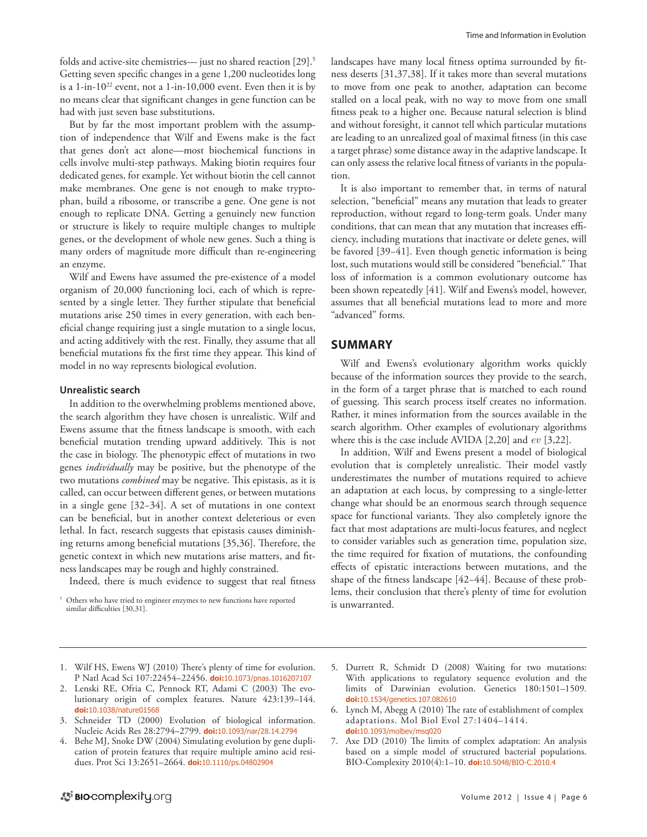folds and active-site chemistries— just no shared reaction [29].<sup>5</sup> Getting seven specific changes in a gene 1,200 nucleotides long is a 1-in-1022 event, not a 1-in-10,000 event. Even then it is by no means clear that significant changes in gene function can be had with just seven base substitutions.

But by far the most important problem with the assumption of independence that Wilf and Ewens make is the fact that genes don't act alone—most biochemical functions in cells involve multi-step pathways. Making biotin requires four dedicated genes, for example. Yet without biotin the cell cannot make membranes. One gene is not enough to make tryptophan, build a ribosome, or transcribe a gene. One gene is not enough to replicate DNA. Getting a genuinely new function or structure is likely to require multiple changes to multiple genes, or the development of whole new genes. Such a thing is many orders of magnitude more difficult than re-engineering an enzyme.

Wilf and Ewens have assumed the pre-existence of a model organism of 20,000 functioning loci, each of which is represented by a single letter. They further stipulate that beneficial mutations arise 250 times in every generation, with each beneficial change requiring just a single mutation to a single locus, and acting additively with the rest. Finally, they assume that all beneficial mutations fix the first time they appear. This kind of model in no way represents biological evolution.

# **Unrealistic search**

In addition to the overwhelming problems mentioned above, the search algorithm they have chosen is unrealistic. Wilf and Ewens assume that the fitness landscape is smooth, with each beneficial mutation trending upward additively. This is not the case in biology. The phenotypic effect of mutations in two genes *individually* may be positive, but the phenotype of the two mutations *combined* may be negative. This epistasis, as it is called, can occur between different genes, or between mutations in a single gene [32−34]. A set of mutations in one context can be beneficial, but in another context deleterious or even lethal. In fact, research suggests that epistasis causes diminishing returns among beneficial mutations [35,36]. Therefore, the genetic context in which new mutations arise matters, and fitness landscapes may be rough and highly constrained.

Indeed, there is much evidence to suggest that real fitness

landscapes have many local fitness optima surrounded by fitness deserts [31,37,38]. If it takes more than several mutations to move from one peak to another, adaptation can become stalled on a local peak, with no way to move from one small fitness peak to a higher one. Because natural selection is blind and without foresight, it cannot tell which particular mutations are leading to an unrealized goal of maximal fitness (in this case a target phrase) some distance away in the adaptive landscape. It can only assess the relative local fitness of variants in the population.

It is also important to remember that, in terms of natural selection, "beneficial" means any mutation that leads to greater reproduction, without regard to long-term goals. Under many conditions, that can mean that any mutation that increases efficiency, including mutations that inactivate or delete genes, will be favored [39−41]. Even though genetic information is being lost, such mutations would still be considered "beneficial." That loss of information is a common evolutionary outcome has been shown repeatedly [41]. Wilf and Ewens's model, however, assumes that all beneficial mutations lead to more and more "advanced" forms.

# **Summary**

Wilf and Ewens's evolutionary algorithm works quickly because of the information sources they provide to the search, in the form of a target phrase that is matched to each round of guessing. This search process itself creates no information. Rather, it mines information from the sources available in the search algorithm. Other examples of evolutionary algorithms where this is the case include AVIDA [2,20] and *ev* [3,22].

In addition, Wilf and Ewens present a model of biological evolution that is completely unrealistic. Their model vastly underestimates the number of mutations required to achieve an adaptation at each locus, by compressing to a single-letter change what should be an enormous search through sequence space for functional variants. They also completely ignore the fact that most adaptations are multi-locus features, and neglect to consider variables such as generation time, population size, the time required for fixation of mutations, the confounding effects of epistatic interactions between mutations, and the shape of the fitness landscape [42−44]. Because of these problems, their conclusion that there's plenty of time for evolution is unwarranted.

- 1. Wilf HS, Ewens WJ (2010) There's plenty of time for evolution. P Natl Acad Sci 107:22454–22456. **doi:**[10.1073/pnas.1016207107](http://dx.doi.org/10.1073/pnas.1016207107)
- 2. Lenski RE, Ofria C, Pennock RT, Adami C (2003) The evolutionary origin of complex features. Nature 423:139–144. **doi:**[10.1038/nature01568](http://dx.doi.org/10.1038/nature01568)
- 3. Schneider TD (2000) Evolution of biological information. Nucleic Acids Res 28:2794–2799. **doi:**[10.1093/nar/28.14.2794](http://dx.doi.org/10.1093/nar/28.14.2794)
- 4. Behe MJ, Snoke DW (2004) Simulating evolution by gene duplication of protein features that require multiple amino acid residues. Prot Sci 13:2651–2664. **doi:**[10.1110/ps.04802904](http://dx.doi.org/10.1110/ps.04802904)
- 5. Durrett R, Schmidt D (2008) Waiting for two mutations: With applications to regulatory sequence evolution and the limits of Darwinian evolution. Genetics 180:1501–1509. **doi:**[10.1534/genetics.107.082610](http://dx.doi.org/10.1534/genetics.107.082610)
- 6. Lynch M, Abegg A (2010) The rate of establishment of complex adaptations. Mol Biol Evol 27:1404–1414. **doi:**[10.1093/molbev/msq020](http://dx.doi.org/10.1093/molbev/msq020)
- 7. Axe DD (2010) The limits of complex adaptation: An analysis based on a simple model of structured bacterial populations. BIO-Complexity 2010(4):1–10. **doi:**[10.5048/BIO-C.2010.4](http://dx.doi.org/10.5048/BIO-C.2010.4)

<sup>&</sup>lt;sup>5</sup> Others who have tried to engineer enzymes to new functions have reported similar difficulties [30,31].